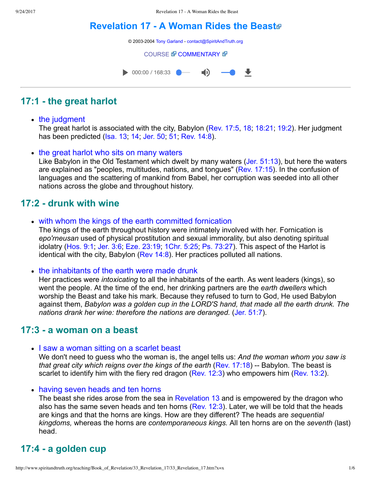# **[Revelation 17 A Woman Rides the Beast](http://www.spiritandtruth.org/teaching/Book_of_Revelation/33_Revelation_17/index.htm)**

© 2003-2004 [Tony Garland](http://www.spiritandtruth.org/teaching/teachers/tony_garland/bio.htm) - [contact@SpiritAndTruth.org](mailto:contact@SpiritAndTruth.org?subject=ST-MAIL:%20Revelation%2017%20-%20A%20Woman%20Rides%20the%20Beast)

#### **[COURSE](http://www.spiritandtruth.org/teaching/Book_of_Revelation/33_Revelation_17/index.htm) & [COMMENTARY](http://www.spiritandtruth.org/teaching/Book_of_Revelation/commentary/htm/index.html?Revelation_17) &**



# **17:1 the great harlot**

### • the judgment

The great harlot is associated with the city, Babylon [\(Rev. 17:5,](http://www.spiritandtruth.org/bibles/nasb/b66c017.htm#Rev._C17V5) [18;](http://www.spiritandtruth.org/bibles/nasb/b66c017.htm#Rev._C17V18) [18:21](http://www.spiritandtruth.org/bibles/nasb/b66c018.htm#Rev._C18V21); [19:2](http://www.spiritandtruth.org/bibles/nasb/b66c019.htm#Rev._C19V2)). Her judgment has been predicted (Isa. 13, 14, Jer. 50, [51](http://www.spiritandtruth.org/bibles/nasb/b24c051.htm#Jer._C51V1), [Rev. 14:8](http://www.spiritandtruth.org/bibles/nasb/b66c014.htm#Rev._C14V8)).

### • the great harlot who sits on many waters

Like Babylon in the Old Testament which dwelt by many waters [\(Jer. 51:13](http://www.spiritandtruth.org/bibles/nasb/b24c051.htm#Jer._C51V13)), but here the waters are explained as "peoples, multitudes, nations, and tongues" [\(Rev. 17:15](http://www.spiritandtruth.org/bibles/nasb/b66c017.htm#Rev._C17V15)). In the confusion of languages and the scattering of mankind from Babel, her corruption was seeded into all other nations across the globe and throughout history.

# **17:2 drunk with wine**

• with whom the kings of the earth committed fornication

The kings of the earth throughout history were intimately involved with her. Fornication is *epo'rneusan* used of physical prostitution and sexual immorality, but also denoting spiritual idolatry [\(Hos. 9:1;](http://www.spiritandtruth.org/bibles/nasb/b28c009.htm#Hos._C9V1) [Jer. 3:6;](http://www.spiritandtruth.org/bibles/nasb/b24c003.htm#Jer._C3V6) [Eze. 23:19;](http://www.spiritandtruth.org/bibles/nasb/b26c023.htm#Eze._C23V19) [1Chr. 5:25](http://www.spiritandtruth.org/bibles/nasb/b13c005.htm#1Chr._C5V25); [Ps. 73:27\)](http://www.spiritandtruth.org/bibles/nasb/b19c073.htm#Ps._C73V27). This aspect of the Harlot is identical with the city, Babylon ([Rev 14:8\)](http://www.spiritandtruth.org/bibles/nasb/b66c014.htm#Rev._C14V8). Her practices polluted all nations.

• the inhabitants of the earth were made drunk

Her practices were *intoxicating* to all the inhabitants of the earth. As went leaders (kings), so went the people. At the time of the end, her drinking partners are the *earth dwellers* which worship the Beast and take his mark. Because they refused to turn to God, He used Babylon against them, *Babylon was a golden cup in the LORD'S hand, that made all the earth drunk. The nations drank her wine: therefore the nations are deranged.* [\(Jer. 51:7](http://www.spiritandtruth.org/bibles/nasb/b24c051.htm#Jer._C51V7)).

# **17:3 a woman on a beast**

• I saw a woman sitting on a scarlet beast

We don't need to guess who the woman is, the angel tells us: *And the woman whom you saw is that great city which reigns over the kings of the earth ([Rev. 17:18\)](http://www.spiritandtruth.org/bibles/nasb/b66c017.htm#Rev._C17V18) -- Babylon. The beast is* scarlet to identify him with the fiery red dragon [\(Rev. 12:3\)](http://www.spiritandtruth.org/bibles/nasb/b66c012.htm#Rev._C12V3) who empowers him [\(Rev. 13:2](http://www.spiritandtruth.org/bibles/nasb/b66c013.htm#Rev._C13V2)).

• having seven heads and ten horns

The beast she rides arose from the sea in [Revelation 13](http://www.spiritandtruth.org/bibles/nasb/b66c013.htm#Rev._C13V1) and is empowered by the dragon who also has the same seven heads and ten horns (Rev.  $12:3$ ). Later, we will be told that the heads are kings and that the horns are kings. How are they different? The heads are *sequential kingdoms,* whereas the horns are *contemporaneous kings.* All ten horns are on the *seventh* (last) head.

# **17:4 a golden cup**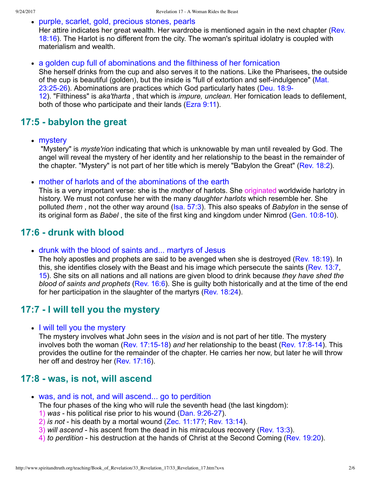purple, scarlet, gold, precious stones, pearls

[Her attire indicates her great wealth. Her wardrobe is mentioned again in the next chapter \(Rev.](http://www.spiritandtruth.org/bibles/nasb/b66c018.htm#Rev._C18V16) 18:16). The Harlot is no different from the city. The woman's spiritual idolatry is coupled with materialism and wealth.

a golden cup full of abominations and the filthiness of her fornication She herself drinks from the cup and also serves it to the nations. Like the Pharisees, the outside of the cup is beautiful (golden), but the inside is "full of extortion and self-indulgence" (Mat. 23:25-26). Abominations are practices which God particularly hates (Deu. 18:9-12). "Filthiness" is *aka'tharta* , that which is *impure, unclean.* Her fornication leads to defilement, both of those who participate and their lands [\(Ezra 9:11\)](http://www.spiritandtruth.org/bibles/nasb/b15c009.htm#Ezra_C9V11).

# **17:5 babylon the great**

• mystery

 "Mystery" is *myste'rion* indicating that which is unknowable by man until revealed by God. The angel will reveal the mystery of her identity and her relationship to the beast in the remainder of the chapter. "Mystery" is not part of her title which is merely "Babylon the Great" [\(Rev. 18:2](http://www.spiritandtruth.org/bibles/nasb/b66c018.htm#Rev._C18V2)).

mother of harlots and of the abominations of the earth

This is a very important verse: she is the *mother* of harlots. She originated worldwide harlotry in history. We must not confuse her with the many *daughter harlots* which resemble her. She polluted *them* , not the other way around [\(Isa. 57:3\)](http://www.spiritandtruth.org/bibles/nasb/b23c057.htm#Isa._C57V3). This also speaks of *Babylon* in the sense of its original form as *Babel*, the site of the first king and kingdom under Nimrod (Gen. 10:8-10).

# **17:6 drunk with blood**

drunk with the blood of saints and... martyrs of Jesus

The holy apostles and prophets are said to be avenged when she is destroyed [\(Rev. 18:19](http://www.spiritandtruth.org/bibles/nasb/b66c018.htm#Rev._C18V19)). In this, she identifies closely with the Beast and his image which persecute the saints [\(Rev. 13:7](http://www.spiritandtruth.org/bibles/nasb/b66c013.htm#Rev._C13V7), [15\)](http://www.spiritandtruth.org/bibles/nasb/b66c013.htm#Rev._C13V15). She sits on all nations and all nations are given blood to drink because *they have shed the blood of saints and prophets* [\(Rev. 16:6\)](http://www.spiritandtruth.org/bibles/nasb/b66c016.htm#Rev._C16V6). She is guilty both historically and at the time of the end for her participation in the slaughter of the martyrs ([Rev. 18:24\)](http://www.spiritandtruth.org/bibles/nasb/b66c018.htm#Rev._C18V24).

# **17:7 I will tell you the mystery**

• I will tell you the mystery

The mystery involves what John sees in the *vision* and is not part of her title. The mystery involves both the woman (Rev. 17:15-18) and her relationship to the beast (Rev. 17:8-14). This provides the outline for the remainder of the chapter. He carries her now, but later he will throw her off and destroy her ([Rev. 17:16](http://www.spiritandtruth.org/bibles/nasb/b66c017.htm#Rev._C17V16)).

# **17:8 was, is not, will ascend**

was, and is not, and will ascend... go to perdition

The four phases of the king who will rule the seventh head (the last kingdom):

- 1) was his political rise prior to his wound (Dan. 9:26-27).
- $2)$  *is not* his death by a mortal wound ([Zec. 11:17?](http://www.spiritandtruth.org/bibles/nasb/b38c011.htm#Zec._C11V17); [Rev. 13:14](http://www.spiritandtruth.org/bibles/nasb/b66c013.htm#Rev._C13V14)).
- 3) *will ascend* his ascent from the dead in his miraculous recovery ([Rev. 13:3](http://www.spiritandtruth.org/bibles/nasb/b66c013.htm#Rev._C13V3)).
- 4) *to perdition* his destruction at the hands of Christ at the Second Coming [\(Rev. 19:20](http://www.spiritandtruth.org/bibles/nasb/b66c019.htm#Rev._C19V20)).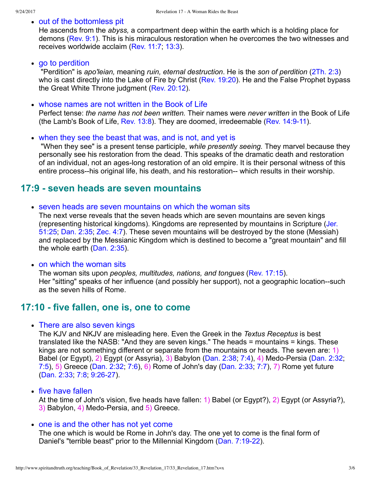### • out of the bottomless pit

He ascends from the *abyss,* a compartment deep within the earth which is a holding place for demons [\(Rev. 9:1\)](http://www.spiritandtruth.org/bibles/nasb/b66c009.htm#Rev._C9V1). This is his miraculous restoration when he overcomes the two witnesses and receives worldwide acclaim ([Rev. 11:7;](http://www.spiritandtruth.org/bibles/nasb/b66c011.htm#Rev._C11V7) [13:3\)](http://www.spiritandtruth.org/bibles/nasb/b66c013.htm#Rev._C13V3).

#### • go to perdition

 "Perdition" is *apo'leian,* meaning *ruin, eternal destruction*. He is the *son of perdition* [\(2Th. 2:3\)](http://www.spiritandtruth.org/bibles/nasb/b53c002.htm#2Th._C2V3) who is cast directly into the Lake of Fire by Christ [\(Rev. 19:20\)](http://www.spiritandtruth.org/bibles/nasb/b66c019.htm#Rev._C19V20). He and the False Prophet bypass the Great White Throne judgment [\(Rev. 20:12](http://www.spiritandtruth.org/bibles/nasb/b66c020.htm#Rev._C20V12)).

### whose names are not written in the Book of Life

Perfect tense: *the name has not been written.* Their names were *never written* in the Book of Life (the Lamb's Book of Life, Rev.  $13:8$ ). They are doomed, irredeemable (Rev.  $14:9-11$ ).

#### when they see the beast that was, and is not, and yet is

 "When they see" is a present tense participle, *while presently seeing.* They marvel because they personally see his restoration from the dead. This speaks of the dramatic death and restoration of an individual, not an ages-long restoration of an old empire. It is their personal witness of this entire process--his original life, his death, and his restoration-- which results in their worship.

## **17:9 seven heads are seven mountains**

• seven heads are seven mountains on which the woman sits

The next verse reveals that the seven heads which are seven mountains are seven kings [\(representing historical kingdoms\). Kingdoms are represented by mountains in Scripture \(Jer.](http://www.spiritandtruth.org/bibles/nasb/b24c051.htm#Jer._C51V25) 51:25; [Dan. 2:35;](http://www.spiritandtruth.org/bibles/nasb/b27c002.htm#Dan._C2V35) [Zec. 4:7\)](http://www.spiritandtruth.org/bibles/nasb/b38c004.htm#Zec._C4V7). These seven mountains will be destroyed by the stone (Messiah) and replaced by the Messianic Kingdom which is destined to become a "great mountain" and fill the whole earth [\(Dan. 2:35\)](http://www.spiritandtruth.org/bibles/nasb/b27c002.htm#Dan._C2V35).

#### • on which the woman sits

The woman sits upon *peoples, multitudes, nations, and tongues* ([Rev. 17:15\)](http://www.spiritandtruth.org/bibles/nasb/b66c017.htm#Rev._C17V15). Her "sitting" speaks of her influence (and possibly her support), not a geographic location--such as the seven hills of Rome.

# **17:10 five fallen, one is, one to come**

#### • There are also seven kings

The KJV and NKJV are misleading here. Even the Greek in the *Textus Receptus* is best translated like the NASB: "And they are seven kings." The heads = mountains = kings. These kings are not something different or separate from the mountains or heads. The seven are: 1) Babel (or Egypt), 2) Egypt (or Assyria), 3) Babylon [\(Dan. 2:38;](http://www.spiritandtruth.org/bibles/nasb/b27c002.htm#Dan._C2V38) [7:4\)](http://www.spiritandtruth.org/bibles/nasb/b27c007.htm#Dan._C7V4), 4) Medo-Persia ([Dan. 2:32](http://www.spiritandtruth.org/bibles/nasb/b27c002.htm#Dan._C2V32); [7:5\)](http://www.spiritandtruth.org/bibles/nasb/b27c007.htm#Dan._C7V5), 5) Greece [\(Dan. 2:32](http://www.spiritandtruth.org/bibles/nasb/b27c002.htm#Dan._C2V32); [7:6\)](http://www.spiritandtruth.org/bibles/nasb/b27c007.htm#Dan._C7V6), 6) Rome of John's day [\(Dan. 2:33;](http://www.spiritandtruth.org/bibles/nasb/b27c002.htm#Dan._C2V33) [7:7\)](http://www.spiritandtruth.org/bibles/nasb/b27c007.htm#Dan._C7V7), 7) Rome yet future [\(Dan. 2:33](http://www.spiritandtruth.org/bibles/nasb/b27c002.htm#Dan._C2V33), 7:8, 9:26-27).

### • five have fallen

At the time of John's vision, five heads have fallen: 1) Babel (or Egypt?), 2) Egypt (or Assyria?),  $3)$  Babylon, 4) Medo-Persia, and  $5)$  Greece.

### • one is and the other has not yet come

The one which is would be Rome in John's day. The one yet to come is the final form of Daniel's "terrible beast" prior to the Millennial Kingdom (Dan. 7:19-22).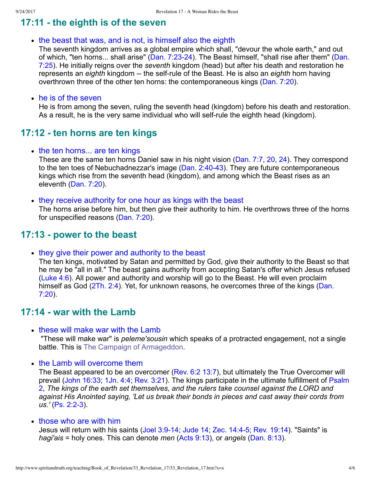# **17:11 the eighth is of the seven**

• the beast that was, and is not, is himself also the eighth

The seventh kingdom arrives as a global empire which shall, "devour the whole earth," and out of which, "ten horns... shall arise" (Dan. 7:23-24). The Beast himself, "shall rise after them" (Dan. 7:25). He initially reigns over the *seventh* kingdom (head) but after his death and restoration he represents an *eighth* kingdom -- the self-rule of the Beast. He is also an *eighth* horn having overthrown three of the other ten horns: the contemporaneous kings [\(Dan. 7:20](http://www.spiritandtruth.org/bibles/nasb/b27c007.htm#Dan._C7V20)).

#### he is of the seven

He is from among the seven, ruling the seventh head (kingdom) before his death and restoration. As a result, he is the very same individual who will self-rule the eighth head (kingdom).

## **17:12 ten horns are ten kings**

 $\bullet$  the ten horns... are ten kings

These are the same ten horns Daniel saw in his night vision [\(Dan. 7:7,](http://www.spiritandtruth.org/bibles/nasb/b27c007.htm#Dan._C7V7) [20,](http://www.spiritandtruth.org/bibles/nasb/b27c007.htm#Dan._C7V20) [24\)](http://www.spiritandtruth.org/bibles/nasb/b27c007.htm#Dan._C7V24). They correspond to the ten toes of Nebuchadnezzar's image (Dan. 2:40-43). They are future contemporaneous kings which rise from the seventh head (kingdom), and among which the Beast rises as an eleventh ([Dan. 7:20\)](http://www.spiritandtruth.org/bibles/nasb/b27c007.htm#Dan._C7V20).

• they receive authority for one hour as kings with the beast The horns arise before him, but then give their authority to him. He overthrows three of the horns for unspecified reasons [\(Dan. 7:20\)](http://www.spiritandtruth.org/bibles/nasb/b27c007.htm#Dan._C7V20).

# **17:13 power to the beast**

• they give their power and authority to the beast

The ten kings, motivated by Satan and permitted by God, give their authority to the Beast so that he may be "all in all." The beast gains authority from accepting Satan's offer which Jesus refused [\(Luke 4:6](http://www.spiritandtruth.org/bibles/nasb/b42c004.htm#Luke_C4V6)). All power and authority and worship will go to the Beast. He will even proclaim [himself as God \(2Th. 2:4\). Yet, for unknown reasons, he overcomes three of the kings \(Dan.](http://www.spiritandtruth.org/bibles/nasb/b27c007.htm#Dan._C7V20) 7:20).

# **17:14 war with the Lamb**

• these will make war with the Lamb

 "These will make war" is *peleme'sousin* which speaks of a protracted engagement, not a single battle. This is [The Campaign of Armageddon.](http://www.spiritandtruth.org/teaching/Book_of_Revelation/31_Revelation_16/index.htm)

• the Lamb will overcome them

The Beast appeared to be an overcomer [\(Rev. 6:2](http://www.spiritandtruth.org/bibles/nasb/b66c006.htm#Rev._C6V2) [13:7\)](http://www.spiritandtruth.org/bibles/nasb/b66c013.htm#Rev._C13V7), but ultimately the True Overcomer will [prevail \(John 16:33; 1Jn. 4:4; Rev. 3:21\). The kings participate in the ultimate fulfillment of Psalm](http://www.spiritandtruth.org/bibles/nasb/b19c002.htm#Ps._C2V1) 2, *The kings of the earth set themselves, and the rulers take counsel against the LORD and against His Anointed saying, 'Let us break their bonds in pieces and cast away their cords from* us.' (Ps. 2:2-3).

#### • those who are with him

Jesus will return with his saints (Joel 3:9-14; [Jude 14;](http://www.spiritandtruth.org/bibles/nasb/b65c001.htm#Jude_C1V14) Zec. 14:4-5; [Rev. 19:14](http://www.spiritandtruth.org/bibles/nasb/b66c019.htm#Rev._C19V14)). "Saints" is *hagi'ais* = holy ones. This can denote *men* ([Acts 9:13\)](http://www.spiritandtruth.org/bibles/nasb/b44c009.htm#Acts_C9V13), or *angels* [\(Dan. 8:13](http://www.spiritandtruth.org/bibles/nasb/b27c008.htm#Dan._C8V13)).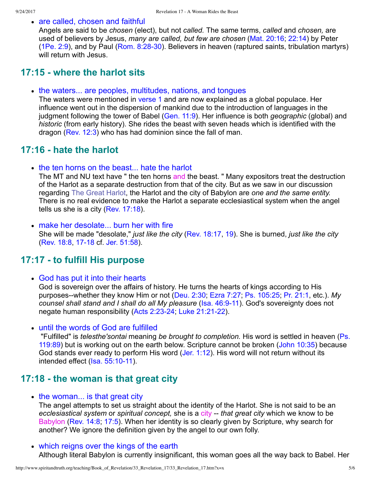• are called, chosen and faithful

Angels are said to be *chosen* (elect), but not *called.* The same terms, *called* and *chosen,* are used of believers by Jesus, *many are called, but few are chosen* [\(Mat. 20:16](http://www.spiritandtruth.org/bibles/nasb/b40c020.htm#Mat._C20V16); [22:14\)](http://www.spiritandtruth.org/bibles/nasb/b40c022.htm#Mat._C22V14) by Peter ( $1Pe. 2:9$ ), and by Paul (Rom. 8:28-30). Believers in heaven (raptured saints, tribulation martyrs) will return with Jesus.

## **17:15 where the harlot sits**

• the waters... are peoples, multitudes, nations, and tongues

The waters were mentioned in [verse 1](http://www.spiritandtruth.org/bibles/nasb/b66c017.htm#Rev._C17V1) and are now explained as a global populace. Her influence went out in the dispersion of mankind due to the introduction of languages in the judgment following the tower of Babel ([Gen. 11:9\)](http://www.spiritandtruth.org/bibles/nasb/b01c011.htm#Gen._C11V9). Her influence is both *geographic* (global) and *historic* (from early history). She rides the beast with seven heads which is identified with the dragon ([Rev. 12:3](http://www.spiritandtruth.org/bibles/nasb/b66c012.htm#Rev._C12V3)) who has had dominion since the fall of man.

# **17:16 hate the harlot**

• the ten horns on the beast... hate the harlot

The MT and NU text have " the ten horns and the beast. " Many expositors treat the destruction of the Harlot as a separate destruction from that of the city. But as we saw in our discussion regarding [The Great Harlot](http://www.spiritandtruth.org/teaching/Book_of_Revelation/32_Babylon_and_the_Harlot/index.htm), the Harlot and the city of Babylon are *one and the same entity.* There is no real evidence to make the Harlot a separate ecclesiastical system when the angel tells us she is a city ([Rev. 17:18](http://www.spiritandtruth.org/bibles/nasb/b66c017.htm#Rev._C17V18)).

• make her desolate... burn her with fire She will be made "desolate," *just like the city* [\(Rev. 18:17](http://www.spiritandtruth.org/bibles/nasb/b66c018.htm#Rev._C18V17), [19](http://www.spiritandtruth.org/bibles/nasb/b66c018.htm#Rev._C18V19)). She is burned, *just like the city* [\(Rev. 18:8,](http://www.spiritandtruth.org/bibles/nasb/b66c018.htm#Rev._C18V8) 17-18 cf. [Jer. 51:58](http://www.spiritandtruth.org/bibles/nasb/b24c051.htm#Jer._C51V58)).

# **17:17 to fulfill His purpose**

• God has put it into their hearts

God is sovereign over the affairs of history. He turns the hearts of kings according to His purposes--whether they know Him or not ([Deu. 2:30;](http://www.spiritandtruth.org/bibles/nasb/b05c002.htm#Deu._C2V30) [Ezra 7:27;](http://www.spiritandtruth.org/bibles/nasb/b15c007.htm#Ezra_C7V27) [Ps. 105:25;](http://www.spiritandtruth.org/bibles/nasb/b19c105.htm#Ps._C105V25) [Pr. 21:1,](http://www.spiritandtruth.org/bibles/nasb/b20c021.htm#Pr._C21V1) etc.). My *counsel shall stand and I shall do all My pleasure* (Isa. 46:9-11). God's sovereignty does not negate human responsibility (Acts 2:23-24; Luke 21:21-22).

until the words of God are fulfilled

 "Fulfilled" is *telesthe'sontai* meaning *be brought to completion.* His word is settled in heaven (Ps. [119:89\) but is working out on the earth below. Scripture cannot be broken \(John 10:35\) because](http://www.spiritandtruth.org/bibles/nasb/b19c119.htm#Ps._C119V89) God stands ever ready to perform His word ([Jer. 1:12](http://www.spiritandtruth.org/bibles/nasb/b24c001.htm#Jer._C1V12)). His word will not return without its intended effect (Isa. 55:10-11).

## **17:18 the woman is that great city**

• the woman... is that great city

The angel attempts to set us straight about the identity of the Harlot. She is not said to be an *ecclesiastical system* or *spiritual concept,* she is a city *that great city* which we know to be Babylon ([Rev. 14:8](http://www.spiritandtruth.org/bibles/nasb/b66c014.htm#Rev._C14V8); [17:5](http://www.spiritandtruth.org/bibles/nasb/b66c017.htm#Rev._C17V5)). When her identity is so clearly given by Scripture, why search for another? We ignore the definition given by the angel to our own folly.

which reigns over the kings of the earth Although literal Babylon is currently insignificant, this woman goes all the way back to Babel. Her